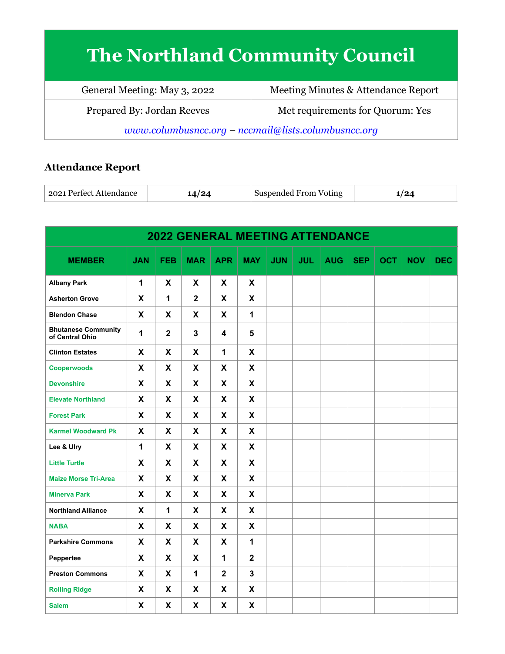## **The Northland Community Council**

| General Meeting: May 3, 2022                        | Meeting Minutes & Attendance Report |  |  |  |  |  |
|-----------------------------------------------------|-------------------------------------|--|--|--|--|--|
| Prepared By: Jordan Reeves                          | Met requirements for Quorum: Yes    |  |  |  |  |  |
| www.columbusncc.org - nccmail@lists.columbusncc.org |                                     |  |  |  |  |  |

## **Attendance Report**

| . Perfect Attendance<br>2021 | Suspended From<br>Voting |  |
|------------------------------|--------------------------|--|
|------------------------------|--------------------------|--|

| <b>2022 GENERAL MEETING ATTENDANCE</b>        |              |                |                |                         |                |            |            |            |            |            |            |            |
|-----------------------------------------------|--------------|----------------|----------------|-------------------------|----------------|------------|------------|------------|------------|------------|------------|------------|
| <b>MEMBER</b>                                 | <b>JAN</b>   | <b>FEB</b>     | <b>MAR</b>     | <b>APR</b>              | <b>MAY</b>     | <b>JUN</b> | <b>JUL</b> | <b>AUG</b> | <b>SEP</b> | <b>OCT</b> | <b>NOV</b> | <b>DEC</b> |
| <b>Albany Park</b>                            | $\mathbf{1}$ | X              | X              | X                       | $\mathsf{x}$   |            |            |            |            |            |            |            |
| <b>Asherton Grove</b>                         | X            | 1              | $\overline{2}$ | X                       | X              |            |            |            |            |            |            |            |
| <b>Blendon Chase</b>                          | X            | X              | X              | X                       | $\mathbf{1}$   |            |            |            |            |            |            |            |
| <b>Bhutanese Community</b><br>of Central Ohio | 1            | $\overline{2}$ | $\overline{3}$ | $\overline{\mathbf{4}}$ | 5              |            |            |            |            |            |            |            |
| <b>Clinton Estates</b>                        | X            | X              | X              | 1                       | X              |            |            |            |            |            |            |            |
| <b>Cooperwoods</b>                            | X            | X              | X              | X                       | X              |            |            |            |            |            |            |            |
| <b>Devonshire</b>                             | X            | X              | X              | X                       | X              |            |            |            |            |            |            |            |
| <b>Elevate Northland</b>                      | X            | X              | X              | X                       | X              |            |            |            |            |            |            |            |
| <b>Forest Park</b>                            | X            | X              | X              | X                       | X              |            |            |            |            |            |            |            |
| <b>Karmel Woodward Pk</b>                     | X            | X              | X              | X                       | X              |            |            |            |            |            |            |            |
| Lee & Ulry                                    | $\mathbf{1}$ | X              | X              | X                       | X              |            |            |            |            |            |            |            |
| <b>Little Turtle</b>                          | X            | X              | X              | X                       | $\mathsf{X}$   |            |            |            |            |            |            |            |
| <b>Maize Morse Tri-Area</b>                   | X            | X              | X              | X                       | $\mathsf{x}$   |            |            |            |            |            |            |            |
| <b>Minerva Park</b>                           | X            | X              | X              | X                       | X              |            |            |            |            |            |            |            |
| <b>Northland Alliance</b>                     | X            | 1              | X              | X                       | X              |            |            |            |            |            |            |            |
| <b>NABA</b>                                   | X            | X              | X              | X                       | X              |            |            |            |            |            |            |            |
| <b>Parkshire Commons</b>                      | X            | X              | X              | X                       | $\mathbf{1}$   |            |            |            |            |            |            |            |
| Peppertee                                     | X            | X              | X              | $\mathbf{1}$            | $\overline{2}$ |            |            |            |            |            |            |            |
| <b>Preston Commons</b>                        | X            | X              | $\mathbf{1}$   | $\overline{2}$          | $\overline{3}$ |            |            |            |            |            |            |            |
| <b>Rolling Ridge</b>                          | X            | X              | X              | X                       | X              |            |            |            |            |            |            |            |
| <b>Salem</b>                                  | X            | X              | X              | X                       | X              |            |            |            |            |            |            |            |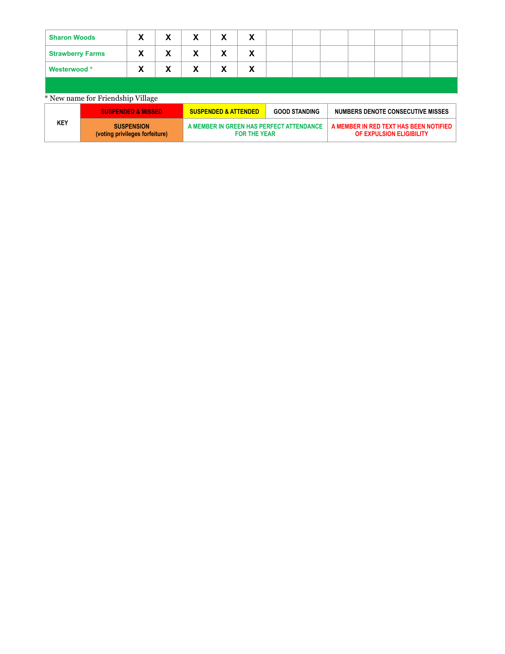| <b>Sharon Woods</b>               |                                | X                             | X | X                                                               | X | X |                      |                                                                    |                                          |  |  |  |  |
|-----------------------------------|--------------------------------|-------------------------------|---|-----------------------------------------------------------------|---|---|----------------------|--------------------------------------------------------------------|------------------------------------------|--|--|--|--|
| <b>Strawberry Farms</b>           |                                | X                             | X | x                                                               | X | X |                      |                                                                    |                                          |  |  |  |  |
| <b>Westerwood*</b>                |                                | X                             | X | X                                                               | X | X |                      |                                                                    |                                          |  |  |  |  |
|                                   |                                |                               |   |                                                                 |   |   |                      |                                                                    |                                          |  |  |  |  |
| * New name for Friendship Village |                                |                               |   |                                                                 |   |   |                      |                                                                    |                                          |  |  |  |  |
|                                   |                                | <b>SUSPENDED &amp; MISSED</b> |   | <b>SUSPENDED &amp; ATTENDED</b>                                 |   |   | <b>GOOD STANDING</b> |                                                                    | <b>NUMBERS DENOTE CONSECUTIVE MISSES</b> |  |  |  |  |
| <b>KEY</b>                        | (voting privileges forfeiture) | <b>SUSPENSION</b>             |   | A MEMBER IN GREEN HAS PERFECT ATTENDANCE<br><b>FOR THE YEAR</b> |   |   |                      | A MEMBER IN RED TEXT HAS BEEN NOTIFIED<br>OF EXPULSION ELIGIBILITY |                                          |  |  |  |  |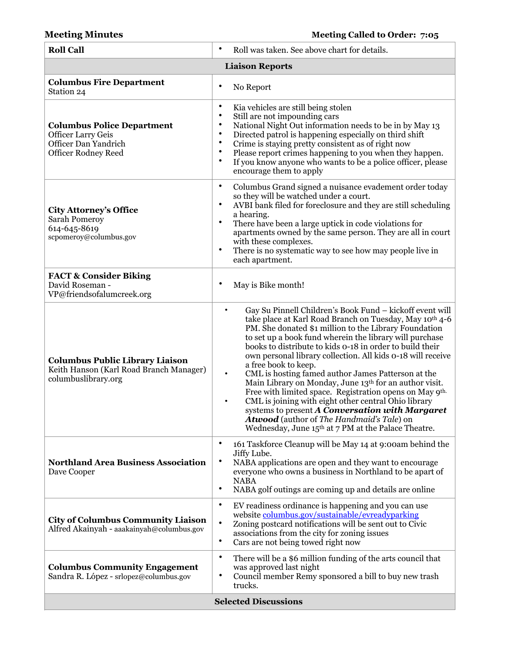| <b>Roll Call</b>                                                                                              | Roll was taken. See above chart for details.<br>٠                                                                                                                                                                                                                                                                                                                                                                                                                                                                                                                                                                                                                                                                                                                                                              |  |  |  |  |  |
|---------------------------------------------------------------------------------------------------------------|----------------------------------------------------------------------------------------------------------------------------------------------------------------------------------------------------------------------------------------------------------------------------------------------------------------------------------------------------------------------------------------------------------------------------------------------------------------------------------------------------------------------------------------------------------------------------------------------------------------------------------------------------------------------------------------------------------------------------------------------------------------------------------------------------------------|--|--|--|--|--|
| <b>Liaison Reports</b>                                                                                        |                                                                                                                                                                                                                                                                                                                                                                                                                                                                                                                                                                                                                                                                                                                                                                                                                |  |  |  |  |  |
| <b>Columbus Fire Department</b><br>Station 24                                                                 | $\bullet$<br>No Report                                                                                                                                                                                                                                                                                                                                                                                                                                                                                                                                                                                                                                                                                                                                                                                         |  |  |  |  |  |
| <b>Columbus Police Department</b><br>Officer Larry Geis<br>Officer Dan Yandrich<br><b>Officer Rodney Reed</b> | $\bullet$<br>Kia vehicles are still being stolen<br>$\bullet$<br>Still are not impounding cars<br>$\bullet$<br>National Night Out information needs to be in by May 13<br>$\bullet$<br>Directed patrol is happening especially on third shift<br>$\bullet$<br>Crime is staying pretty consistent as of right now<br>$\bullet$<br>Please report crimes happening to you when they happen.<br>$\bullet$<br>If you know anyone who wants to be a police officer, please<br>encourage them to apply                                                                                                                                                                                                                                                                                                                |  |  |  |  |  |
| <b>City Attorney's Office</b><br>Sarah Pomeroy<br>614-645-8619<br>scpomeroy@columbus.gov                      | $\bullet$<br>Columbus Grand signed a nuisance evadement order today<br>so they will be watched under a court.<br>$\bullet$<br>AVBI bank filed for foreclosure and they are still scheduling<br>a hearing.<br>$\bullet$<br>There have been a large uptick in code violations for<br>apartments owned by the same person. They are all in court<br>with these complexes.<br>$\bullet$<br>There is no systematic way to see how may people live in<br>each apartment.                                                                                                                                                                                                                                                                                                                                             |  |  |  |  |  |
| <b>FACT &amp; Consider Biking</b><br>David Roseman -<br>VP@friendsofalumcreek.org                             | May is Bike month!<br>٠                                                                                                                                                                                                                                                                                                                                                                                                                                                                                                                                                                                                                                                                                                                                                                                        |  |  |  |  |  |
| <b>Columbus Public Library Liaison</b><br>Keith Hanson (Karl Road Branch Manager)<br>columbuslibrary.org      | Gay Su Pinnell Children's Book Fund - kickoff event will<br>$\bullet$<br>take place at Karl Road Branch on Tuesday, May 10th 4-6<br>PM. She donated \$1 million to the Library Foundation<br>to set up a book fund wherein the library will purchase<br>books to distribute to kids 0-18 in order to build their<br>own personal library collection. All kids o-18 will receive<br>a free book to keep.<br>CML is hosting famed author James Patterson at the<br>$\bullet$<br>Main Library on Monday, June 13th for an author visit.<br>Free with limited space. Registration opens on May 9th.<br>CML is joining with eight other central Ohio library<br>systems to present A Conversation with Margaret<br>Atwood (author of The Handmaid's Tale) on<br>Wednesday, June 15th at 7 PM at the Palace Theatre. |  |  |  |  |  |
| <b>Northland Area Business Association</b><br>Dave Cooper                                                     | $\bullet$<br>161 Taskforce Cleanup will be May 14 at 9:00am behind the<br>Jiffy Lube.<br>$\bullet$<br>NABA applications are open and they want to encourage<br>everyone who owns a business in Northland to be apart of<br><b>NABA</b><br>$\bullet$<br>NABA golf outings are coming up and details are online                                                                                                                                                                                                                                                                                                                                                                                                                                                                                                  |  |  |  |  |  |
| <b>City of Columbus Community Liaison</b><br>Alfred Akainyah - aaakainyah@columbus.gov                        | ٠<br>EV readiness ordinance is happening and you can use<br>website columbus.gov/sustainable/evreadyparking<br>$\bullet$<br>Zoning postcard notifications will be sent out to Civic<br>associations from the city for zoning issues<br>$\bullet$<br>Cars are not being towed right now                                                                                                                                                                                                                                                                                                                                                                                                                                                                                                                         |  |  |  |  |  |
| <b>Columbus Community Engagement</b><br>Sandra R. López - srlopez@columbus.gov                                | $\bullet$<br>There will be a \$6 million funding of the arts council that<br>was approved last night<br>٠<br>Council member Remy sponsored a bill to buy new trash<br>trucks.                                                                                                                                                                                                                                                                                                                                                                                                                                                                                                                                                                                                                                  |  |  |  |  |  |
|                                                                                                               | <b>Selected Discussions</b>                                                                                                                                                                                                                                                                                                                                                                                                                                                                                                                                                                                                                                                                                                                                                                                    |  |  |  |  |  |